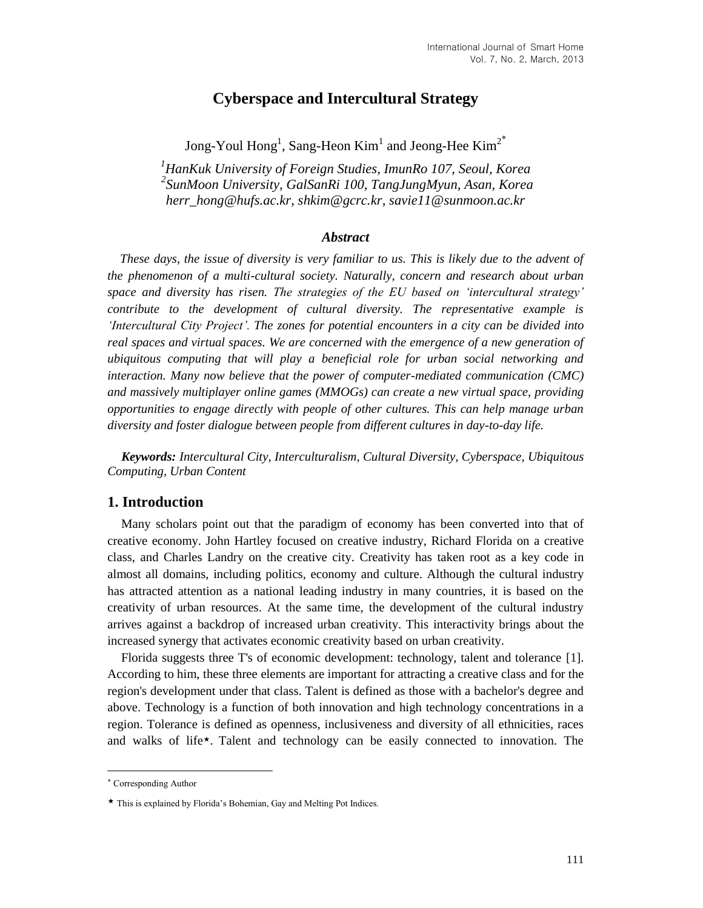# **Cyberspace and Intercultural Strategy**

Jong-Youl  $\text{Homg}^1$ , Sang-Heon  $\text{Kim}^1$  and Jeong-Hee  $\text{Kim}^{2^*}$ 

*<sup>1</sup>HanKuk University of Foreign Studies, ImunRo 107, Seoul, Korea 2 SunMoon University, GalSanRi 100, TangJungMyun, Asan, Korea herr\_hong@hufs.ac.kr, shkim@gcrc.kr, savie11@sunmoon.ac.kr*

#### *Abstract*

*These days, the issue of diversity is very familiar to us. This is likely due to the advent of the phenomenon of a multi-cultural society. Naturally, concern and research about urban space and diversity has risen. The strategies of the EU based on 'intercultural strategy' contribute to the development of cultural diversity. The representative example is 'Intercultural City Project'. The zones for potential encounters in a city can be divided into*  real spaces and virtual spaces. We are concerned with the emergence of a new generation of *ubiquitous computing that will play a beneficial role for urban social networking and interaction. Many now believe that the power of computer-mediated communication (CMC) and massively multiplayer online games (MMOGs) can create a new virtual space, providing opportunities to engage directly with people of other cultures. This can help manage urban diversity and foster dialogue between people from different cultures in day-to-day life.*

*Keywords: Intercultural City, Interculturalism, Cultural Diversity, Cyberspace, Ubiquitous Computing, Urban Content*

#### **1. Introduction**

Many scholars point out that the paradigm of economy has been converted into that of creative economy. John Hartley focused on creative industry, Richard Florida on a creative class, and Charles Landry on the creative city. Creativity has taken root as a key code in almost all domains, including politics, economy and culture. Although the cultural industry has attracted attention as a national leading industry in many countries, it is based on the creativity of urban resources. At the same time, the development of the cultural industry arrives against a backdrop of increased urban creativity. This interactivity brings about the increased synergy that activates economic creativity based on urban creativity.

Florida suggests three T's of economic development: technology, talent and tolerance [1]. According to him, these three elements are important for attracting a creative class and for the region's development under that class. Talent is defined as those with a bachelor's degree and above. Technology is a function of both innovation and high technology concentrations in a region. Tolerance is defined as openness, inclusiveness and diversity of all ethnicities, races and walks of life★. Talent and technology can be easily connected to innovation. The

l

Corresponding Author

<sup>★</sup> This is explained by Florida's Bohemian, Gay and Melting Pot Indices.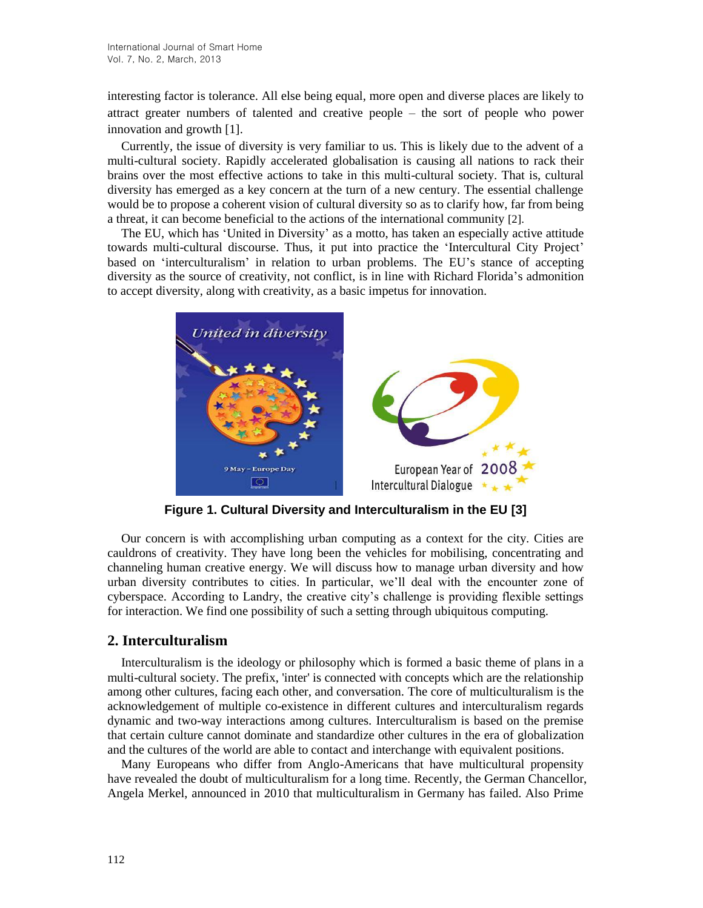interesting factor is tolerance. All else being equal, more open and diverse places are likely to attract greater numbers of talented and creative people – the sort of people who power innovation and growth [1].

Currently, the issue of diversity is very familiar to us. This is likely due to the advent of a multi-cultural society. Rapidly accelerated globalisation is causing all nations to rack their brains over the most effective actions to take in this multi-cultural society. That is, cultural diversity has emerged as a key concern at the turn of a new century. The essential challenge would be to propose a coherent vision of cultural diversity so as to clarify how, far from being a threat, it can become beneficial to the actions of the international community [2].

The EU, which has 'United in Diversity' as a motto, has taken an especially active attitude towards multi-cultural discourse. Thus, it put into practice the 'Intercultural City Project' based on 'interculturalism' in relation to urban problems. The EU's stance of accepting diversity as the source of creativity, not conflict, is in line with Richard Florida's admonition to accept diversity, along with creativity, as a basic impetus for innovation.



**Figure 1. Cultural Diversity and Interculturalism in the EU [3]**

Our concern is with accomplishing urban computing as a context for the city. Cities are cauldrons of creativity. They have long been the vehicles for mobilising, concentrating and channeling human creative energy. We will discuss how to manage urban diversity and how urban diversity contributes to cities. In particular, we'll deal with the encounter zone of cyberspace. According to Landry, the creative city's challenge is providing flexible settings for interaction. We find one possibility of such a setting through ubiquitous computing.

# **2. Interculturalism**

Interculturalism is the ideology or philosophy which is formed a basic theme of plans in a multi-cultural society. The prefix, 'inter' is connected with concepts which are the relationship among other cultures, facing each other, and conversation. The core of multiculturalism is the acknowledgement of multiple co-existence in different cultures and interculturalism regards dynamic and two-way interactions among cultures. Interculturalism is based on the premise that certain culture cannot dominate and standardize other cultures in the era of globalization and the cultures of the world are able to contact and interchange with equivalent positions.

Many Europeans who differ from Anglo-Americans that have multicultural propensity have revealed the doubt of multiculturalism for a long time. Recently, the German Chancellor, Angela Merkel, announced in 2010 that multiculturalism in Germany has failed. Also Prime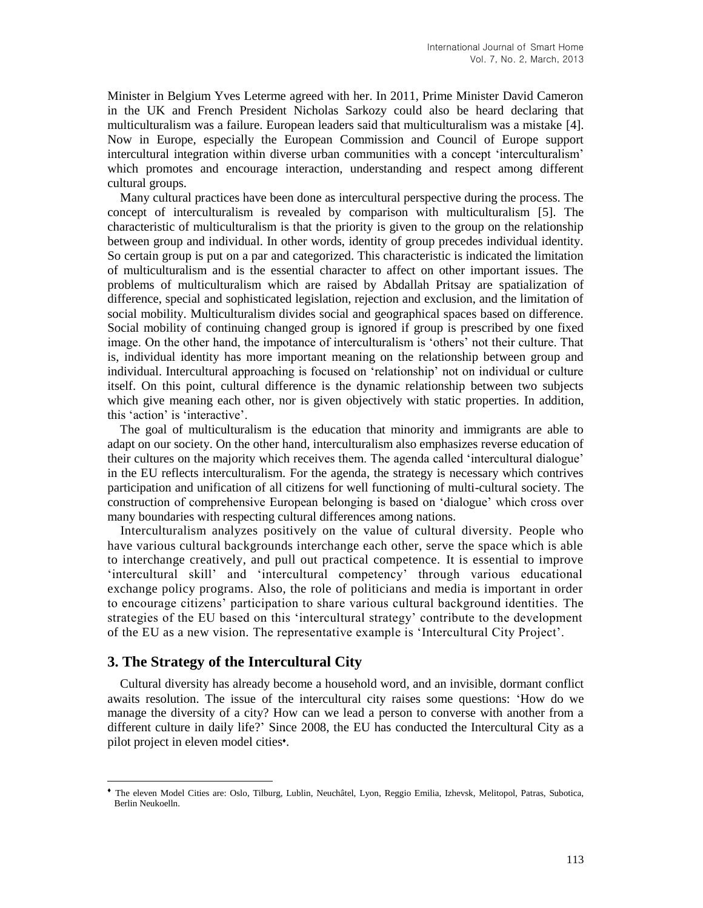Minister in Belgium Yves Leterme agreed with her. In 2011, Prime Minister David Cameron in the UK and French President Nicholas Sarkozy could also be heard declaring that multiculturalism was a failure. European leaders said that multiculturalism was a mistake [4]. Now in Europe, especially the European Commission and Council of Europe support intercultural integration within diverse urban communities with a concept 'interculturalism' which promotes and encourage interaction, understanding and respect among different cultural groups.

Many cultural practices have been done as intercultural perspective during the process. The concept of interculturalism is revealed by comparison with multiculturalism [5]. The characteristic of multiculturalism is that the priority is given to the group on the relationship between group and individual. In other words, identity of group precedes individual identity. So certain group is put on a par and categorized. This characteristic is indicated the limitation of multiculturalism and is the essential character to affect on other important issues. The problems of multiculturalism which are raised by Abdallah Pritsay are spatialization of difference, special and sophisticated legislation, rejection and exclusion, and the limitation of social mobility. Multiculturalism divides social and geographical spaces based on difference. Social mobility of continuing changed group is ignored if group is prescribed by one fixed image. On the other hand, the impotance of interculturalism is 'others' not their culture. That is, individual identity has more important meaning on the relationship between group and individual. Intercultural approaching is focused on 'relationship' not on individual or culture itself. On this point, cultural difference is the dynamic relationship between two subjects which give meaning each other, nor is given objectively with static properties. In addition, this 'action' is 'interactive'.

The goal of multiculturalism is the education that minority and immigrants are able to adapt on our society. On the other hand, interculturalism also emphasizes reverse education of their cultures on the majority which receives them. The agenda called 'intercultural dialogue' in the EU reflects interculturalism. For the agenda, the strategy is necessary which contrives participation and unification of all citizens for well functioning of multi-cultural society. The construction of comprehensive European belonging is based on 'dialogue' which cross over many boundaries with respecting cultural differences among nations.

Interculturalism analyzes positively on the value of cultural diversity. People who have various cultural backgrounds interchange each other, serve the space which is able to interchange creatively, and pull out practical competence. It is essential to improve 'intercultural skill' and 'intercultural competency' through various educational exchange policy programs. Also, the role of politicians and media is important in order to encourage citizens' participation to share various cultural background identities. The strategies of the EU based on this 'intercultural strategy' contribute to the development of the EU as a new vision. The representative example is 'Intercultural City Project'.

## **3. The Strategy of the Intercultural City**

l

Cultural diversity has already become a household word, and an invisible, dormant conflict awaits resolution. The issue of the intercultural city raises some questions: 'How do we manage the diversity of a city? How can we lead a person to converse with another from a different culture in daily life?' Since 2008, the EU has conducted the Intercultural City as a pilot project in eleven model cities<sup>\*</sup>.

<sup>♦</sup> The eleven Model Cities are: Oslo, Tilburg, Lublin, Neuchâtel, Lyon, Reggio Emilia, Izhevsk, Melitopol, Patras, Subotica, Berlin Neukoelln.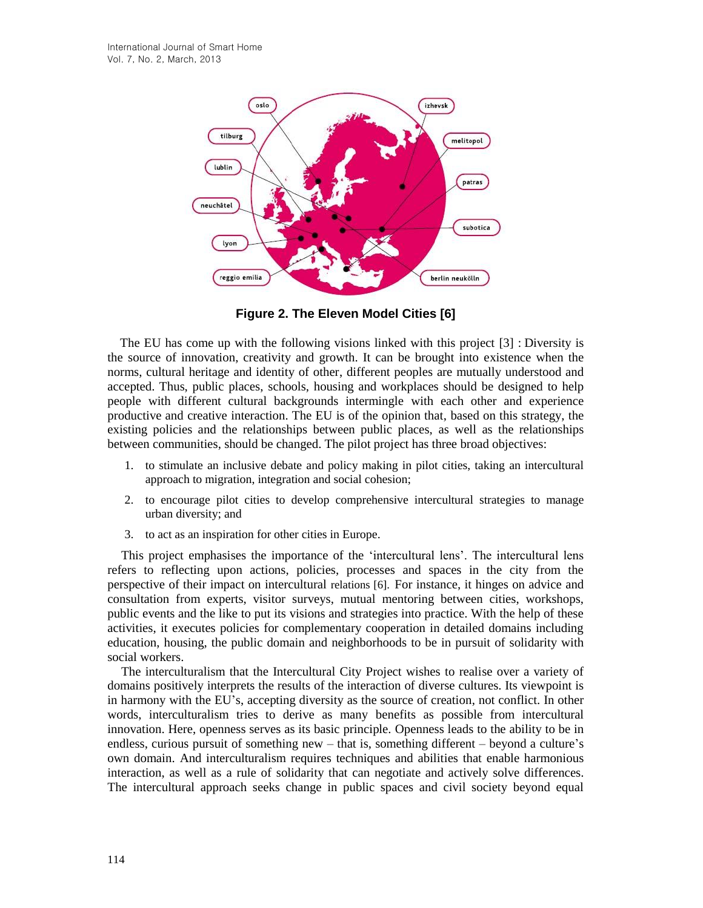

**Figure 2. The Eleven Model Cities [6]**

The EU has come up with the following visions linked with this project [3] : Diversity is the source of innovation, creativity and growth. It can be brought into existence when the norms, cultural heritage and identity of other, different peoples are mutually understood and accepted. Thus, public places, schools, housing and workplaces should be designed to help people with different cultural backgrounds intermingle with each other and experience productive and creative interaction. The EU is of the opinion that, based on this strategy, the existing policies and the relationships between public places, as well as the relationships between communities, should be changed. The pilot project has three broad objectives:

- 1. to stimulate an inclusive debate and policy making in pilot cities, taking an intercultural approach to migration, integration and social cohesion;
- 2. to encourage pilot cities to develop comprehensive intercultural strategies to manage urban diversity; and
- 3. to act as an inspiration for other cities in Europe.

This project emphasises the importance of the 'intercultural lens'. The intercultural lens refers to reflecting upon actions, policies, processes and spaces in the city from the perspective of their impact on intercultural relations [6]. For instance, it hinges on advice and consultation from experts, visitor surveys, mutual mentoring between cities, workshops, public events and the like to put its visions and strategies into practice. With the help of these activities, it executes policies for complementary cooperation in detailed domains including education, housing, the public domain and neighborhoods to be in pursuit of solidarity with social workers.

The interculturalism that the Intercultural City Project wishes to realise over a variety of domains positively interprets the results of the interaction of diverse cultures. Its viewpoint is in harmony with the EU's, accepting diversity as the source of creation, not conflict. In other words, interculturalism tries to derive as many benefits as possible from intercultural innovation. Here, openness serves as its basic principle. Openness leads to the ability to be in endless, curious pursuit of something new – that is, something different – beyond a culture's own domain. And interculturalism requires techniques and abilities that enable harmonious interaction, as well as a rule of solidarity that can negotiate and actively solve differences. The intercultural approach seeks change in public spaces and civil society beyond equal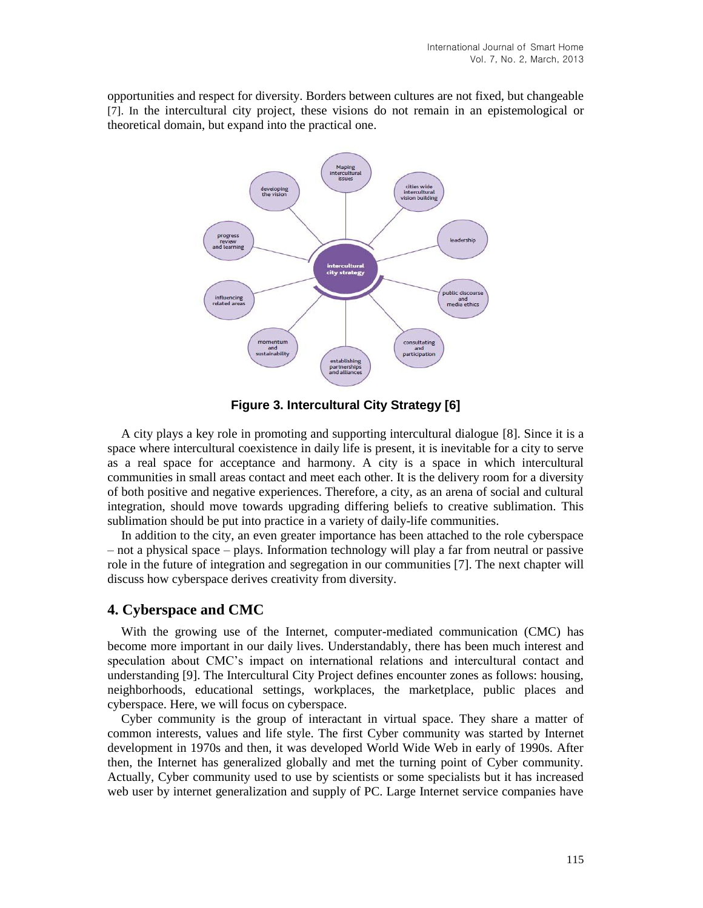opportunities and respect for diversity. Borders between cultures are not fixed, but changeable [7]. In the intercultural city project, these visions do not remain in an epistemological or theoretical domain, but expand into the practical one.



**Figure 3. Intercultural City Strategy [6]**

A city plays a key role in promoting and supporting intercultural dialogue [8]. Since it is a space where intercultural coexistence in daily life is present, it is inevitable for a city to serve as a real space for acceptance and harmony. A city is a space in which intercultural communities in small areas contact and meet each other. It is the delivery room for a diversity of both positive and negative experiences. Therefore, a city, as an arena of social and cultural integration, should move towards upgrading differing beliefs to creative sublimation. This sublimation should be put into practice in a variety of daily-life communities.

In addition to the city, an even greater importance has been attached to the role cyberspace – not a physical space – plays. Information technology will play a far from neutral or passive role in the future of integration and segregation in our communities [7]. The next chapter will discuss how cyberspace derives creativity from diversity.

#### **4. Cyberspace and CMC**

With the growing use of the Internet, computer-mediated communication (CMC) has become more important in our daily lives. Understandably, there has been much interest and speculation about CMC's impact on international relations and intercultural contact and understanding [9]. The Intercultural City Project defines encounter zones as follows: housing, neighborhoods, educational settings, workplaces, the marketplace, public places and cyberspace. Here, we will focus on cyberspace.

Cyber community is the group of interactant in virtual space. They share a matter of common interests, values and life style. The first Cyber community was started by Internet development in 1970s and then, it was developed World Wide Web in early of 1990s. After then, the Internet has generalized globally and met the turning point of Cyber community. Actually, Cyber community used to use by scientists or some specialists but it has increased web user by internet generalization and supply of PC. Large Internet service companies have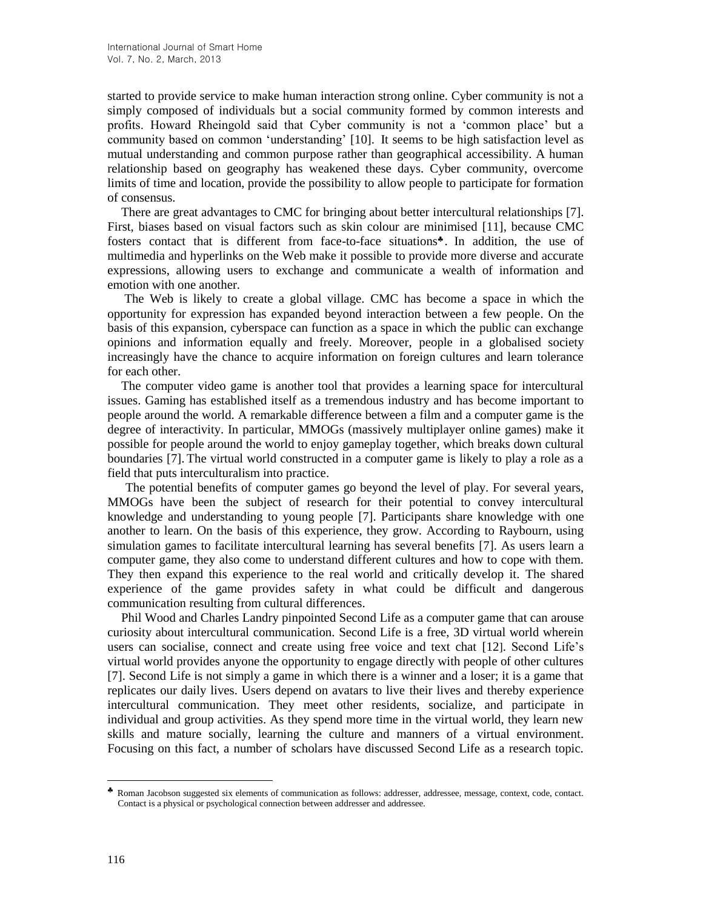started to provide service to make human interaction strong online. Cyber community is not a simply composed of individuals but a social community formed by common interests and profits. Howard Rheingold said that Cyber community is not a 'common place' but a community based on common 'understanding' [10]. It seems to be high satisfaction level as mutual understanding and common purpose rather than geographical accessibility. A human relationship based on geography has weakened these days. Cyber community, overcome limits of time and location, provide the possibility to allow people to participate for formation of consensus.

There are great advantages to CMC for bringing about better intercultural relationships [7]. First, biases based on visual factors such as skin colour are minimised [11], because CMC fosters contact that is different from face-to-face situations<sup>\*</sup>. In addition, the use of multimedia and hyperlinks on the Web make it possible to provide more diverse and accurate expressions, allowing users to exchange and communicate a wealth of information and emotion with one another.

The Web is likely to create a global village. CMC has become a space in which the opportunity for expression has expanded beyond interaction between a few people. On the basis of this expansion, cyberspace can function as a space in which the public can exchange opinions and information equally and freely. Moreover, people in a globalised society increasingly have the chance to acquire information on foreign cultures and learn tolerance for each other.

The computer video game is another tool that provides a learning space for intercultural issues. Gaming has established itself as a tremendous industry and has become important to people around the world. A remarkable difference between a film and a computer game is the degree of interactivity. In particular, MMOGs (massively multiplayer online games) make it possible for people around the world to enjoy gameplay together, which breaks down cultural boundaries [7]. The virtual world constructed in a computer game is likely to play a role as a field that puts interculturalism into practice.

The potential benefits of computer games go beyond the level of play. For several years, MMOGs have been the subject of research for their potential to convey intercultural knowledge and understanding to young people [7]. Participants share knowledge with one another to learn. On the basis of this experience, they grow. According to Raybourn, using simulation games to facilitate intercultural learning has several benefits [7]. As users learn a computer game, they also come to understand different cultures and how to cope with them. They then expand this experience to the real world and critically develop it. The shared experience of the game provides safety in what could be difficult and dangerous communication resulting from cultural differences.

Phil Wood and Charles Landry pinpointed Second Life as a computer game that can arouse curiosity about intercultural communication. Second Life is a free, 3D virtual world wherein users can socialise, connect and create using free voice and text chat [12]. Second Life's virtual world provides anyone the opportunity to engage directly with people of other cultures [7]. Second Life is not simply a game in which there is a winner and a loser; it is a game that replicates our daily lives. Users depend on avatars to live their lives and thereby experience intercultural communication. They meet other residents, socialize, and participate in individual and group activities. As they spend more time in the virtual world, they learn new skills and mature socially, learning the culture and manners of a virtual environment. Focusing on this fact, a number of scholars have discussed Second Life as a research topic.

l

<sup>♣</sup> Roman Jacobson suggested six elements of communication as follows: addresser, addressee, message, context, code, contact. Contact is a physical or psychological connection between addresser and addressee.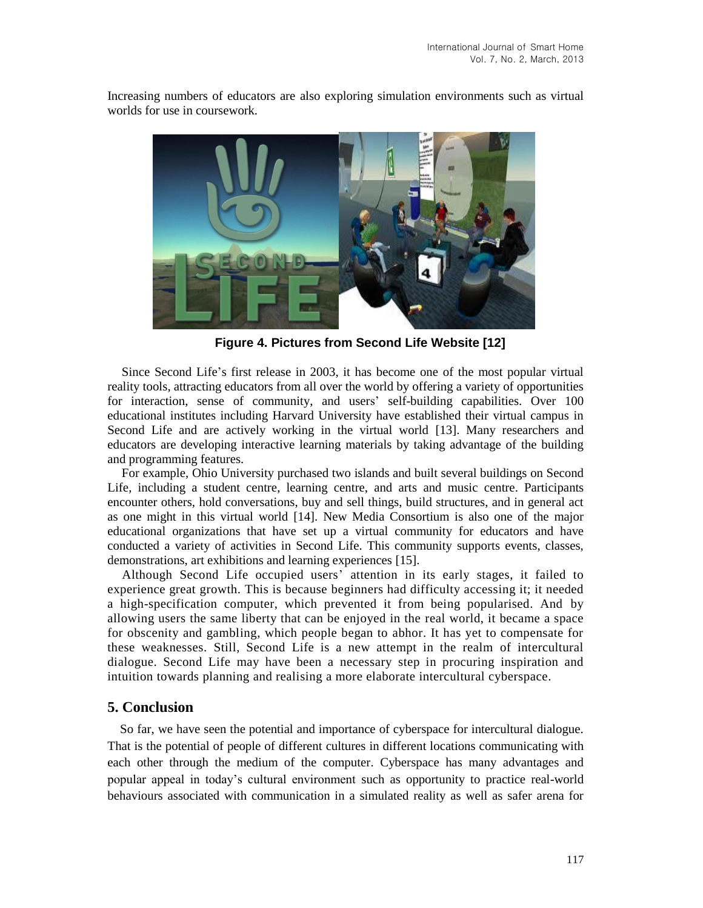

Increasing numbers of educators are also exploring simulation environments such as virtual worlds for use in coursework.

**Figure 4. Pictures from Second Life Website [12]**

Since Second Life's first release in 2003, it has become one of the most popular virtual reality tools, attracting educators from all over the world by offering a variety of opportunities for interaction, sense of community, and users' self-building capabilities. Over 100 educational institutes including Harvard University have established their virtual campus in Second Life and are actively working in the virtual world [13]. Many researchers and educators are developing interactive learning materials by taking advantage of the building and programming features.

For example, Ohio University purchased two islands and built several buildings on Second Life, including a student centre, learning centre, and arts and music centre. Participants encounter others, hold conversations, buy and sell things, build structures, and in general act as one might in this virtual world [14]. New Media Consortium is also one of the major educational organizations that have set up a virtual community for educators and have conducted a variety of activities in Second Life. This community supports events, classes, demonstrations, art exhibitions and learning experiences [15].

Although Second Life occupied users' attention in its early stages, it failed to experience great growth. This is because beginners had difficulty accessing it; it needed a high-specification computer, which prevented it from being popularised. And by allowing users the same liberty that can be enjoyed in the real world, it became a space for obscenity and gambling, which people began to abhor. It has yet to compensate for these weaknesses. Still, Second Life is a new attempt in the realm of intercultural dialogue. Second Life may have been a necessary step in procuring inspiration and intuition towards planning and realising a more elaborate intercultural cyberspace.

### **5. Conclusion**

So far, we have seen the potential and importance of cyberspace for intercultural dialogue. That is the potential of people of different cultures in different locations communicating with each other through the medium of the computer. Cyberspace has many advantages and popular appeal in today's cultural environment such as opportunity to practice real-world behaviours associated with communication in a simulated reality as well as safer arena for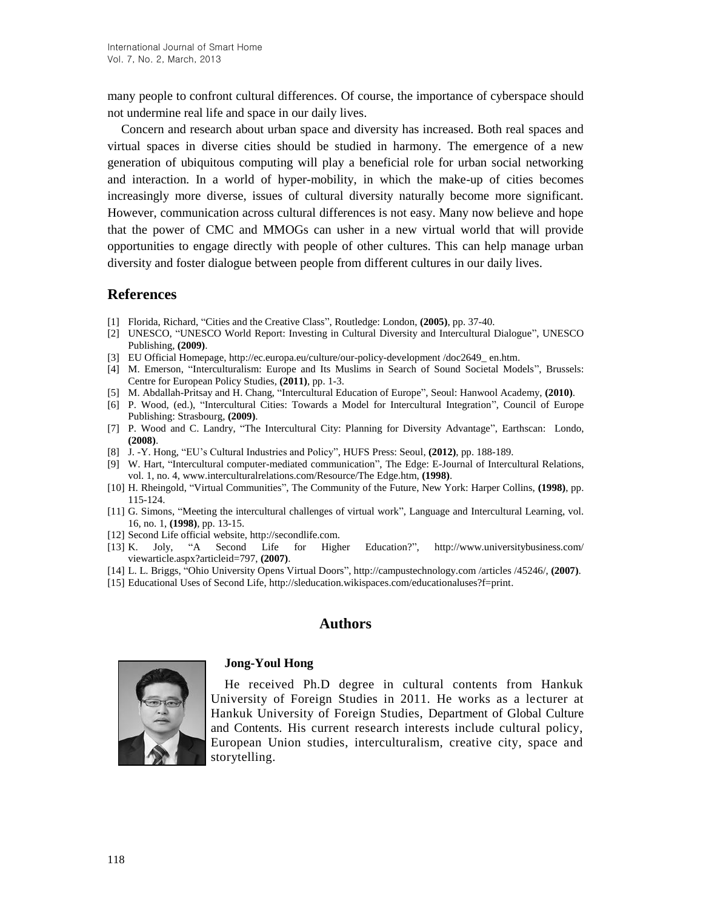many people to confront cultural differences. Of course, the importance of cyberspace should not undermine real life and space in our daily lives.

Concern and research about urban space and diversity has increased. Both real spaces and virtual spaces in diverse cities should be studied in harmony. The emergence of a new generation of ubiquitous computing will play a beneficial role for urban social networking and interaction. In a world of hyper-mobility, in which the make-up of cities becomes increasingly more diverse, issues of cultural diversity naturally become more significant. However, communication across cultural differences is not easy. Many now believe and hope that the power of CMC and MMOGs can usher in a new virtual world that will provide opportunities to engage directly with people of other cultures. This can help manage urban diversity and foster dialogue between people from different cultures in our daily lives.

## **References**

- [1] Florida, Richard, "Cities and the Creative Class", Routledge: London, **(2005)**, pp. 37-40.
- [2] UNESCO, "UNESCO World Report: Investing in Cultural Diversity and Intercultural Dialogue", UNESCO Publishing, **(2009)**.
- [3] EU Official Homepage, [http://ec.europa.eu/culture/our-policy-development](http://ec.europa.eu/culture/our-policy-development%20/doc2649_%20en.htm) /doc2649\_ en.htm.
- [4] M. Emerson, "Interculturalism: Europe and Its Muslims in Search of Sound Societal Models", Brussels: Centre for European Policy Studies, **(2011)**, pp. 1-3.
- [5] M. Abdallah-Pritsay and H. Chang, "Intercultural Education of Europe", Seoul: Hanwool Academy, **(2010)**.
- [6] P. Wood, (ed.), "Intercultural Cities: Towards a Model for Intercultural Integration", Council of Europe Publishing: Strasbourg, **(2009)**.
- [7] P. Wood and C. Landry, "The Intercultural City: Planning for Diversity Advantage", Earthscan: Londo, **(2008)**.
- [8] J. -Y. Hong, "EU's Cultural Industries and Policy", HUFS Press: Seoul, **(2012)**, pp. 188-189.
- [9] W. Hart, "Intercultural computer-mediated communication", The Edge: E-Journal of Intercultural Relations, vol. 1, no. 4, www.interculturalrelations.com/Resource/The Edge.htm, **(1998)**.
- [10] H. Rheingold, "Virtual Communities", The Community of the Future, New York: Harper Collins, **(1998)**, pp. 115-124.
- [11] G. Simons, "Meeting the intercultural challenges of virtual work", Language and Intercultural Learning, vol. 16, no. 1, **(1998)**, pp. 13-15.
- [12] Second Life official website, [http://secondlife.com.](http://secondlife.com/)
- [13] K. Joly, "A Second Life for Higher Education?", http://www.universitybusiness.com/ viewarticle.aspx?articleid=797, **(2007)**.
- [14] L. L. Briggs, "Ohio University Opens Virtual Doors", http://campustechnology.com /articles /45246/, **(2007)**.
- [15] Educational Uses of Second Life, http://sleducation.wikispaces.com/educationaluses?f=print.

# **Authors**



# **Jong-Youl Hong**

He received Ph.D degree in cultural contents from Hankuk University of Foreign Studies in 2011. He works as a lecturer at Hankuk University of Foreign Studies, Department of Global Culture and Contents. His current research interests include cultural policy, European Union studies, interculturalism, creative city, space and storytelling.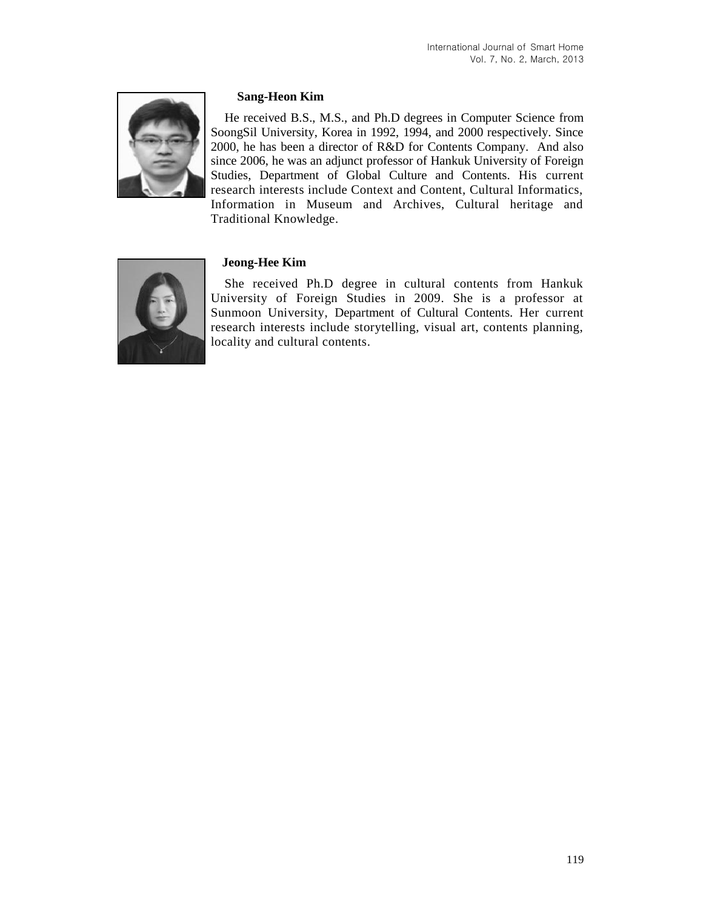

## **Sang-Heon Kim**

He received B.S., M.S., and Ph.D degrees in Computer Science from SoongSil University, Korea in 1992, 1994, and 2000 respectively. Since 2000, he has been a director of R&D for Contents Company. And also since 2006, he was an adjunct professor of Hankuk University of Foreign Studies, Department of Global Culture and Contents. His current research interests include Context and Content, Cultural Informatics, Information in Museum and Archives, Cultural heritage and Traditional Knowledge.



## **Jeong-Hee Kim**

She received Ph.D degree in cultural contents from Hankuk University of Foreign Studies in 2009. She is a professor at Sunmoon University, Department of Cultural Contents. Her current research interests include storytelling, visual art, contents planning, locality and cultural contents.